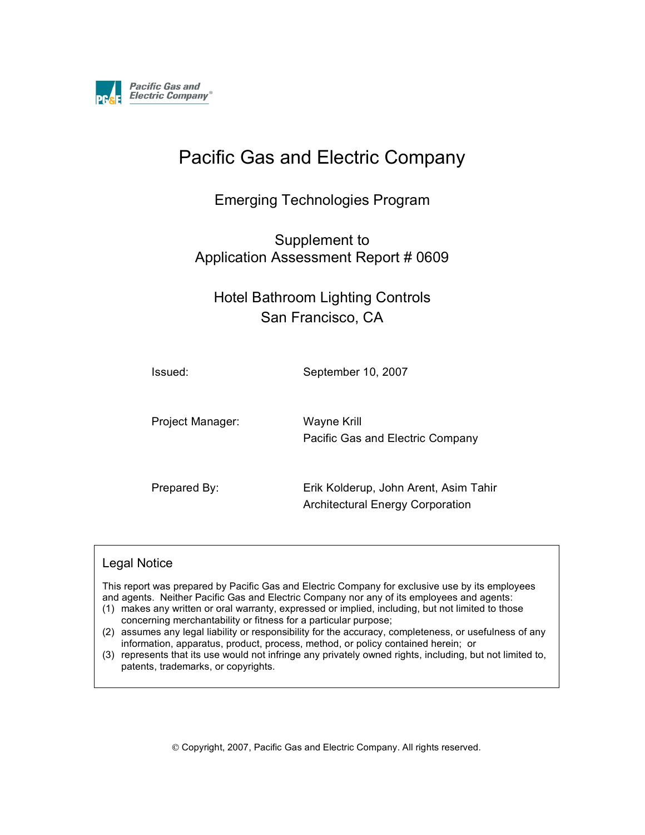

# Pacific Gas and Electric Company

Emerging Technologies Program

Supplement to Application Assessment Report # 0609

Hotel Bathroom Lighting Controls San Francisco, CA

Issued: September 10, 2007

Project Manager: Wayne Krill

Pacific Gas and Electric Company

Prepared By: Erik Kolderup, John Arent, Asim Tahir Architectural Energy Corporation

#### Legal Notice

This report was prepared by Pacific Gas and Electric Company for exclusive use by its employees and agents. Neither Pacific Gas and Electric Company nor any of its employees and agents:

- (1) makes any written or oral warranty, expressed or implied, including, but not limited to those concerning merchantability or fitness for a particular purpose;
- (2) assumes any legal liability or responsibility for the accuracy, completeness, or usefulness of any information, apparatus, product, process, method, or policy contained herein; or
- (3) represents that its use would not infringe any privately owned rights, including, but not limited to, patents, trademarks, or copyrights.

Copyright, 2007, Pacific Gas and Electric Company. All rights reserved.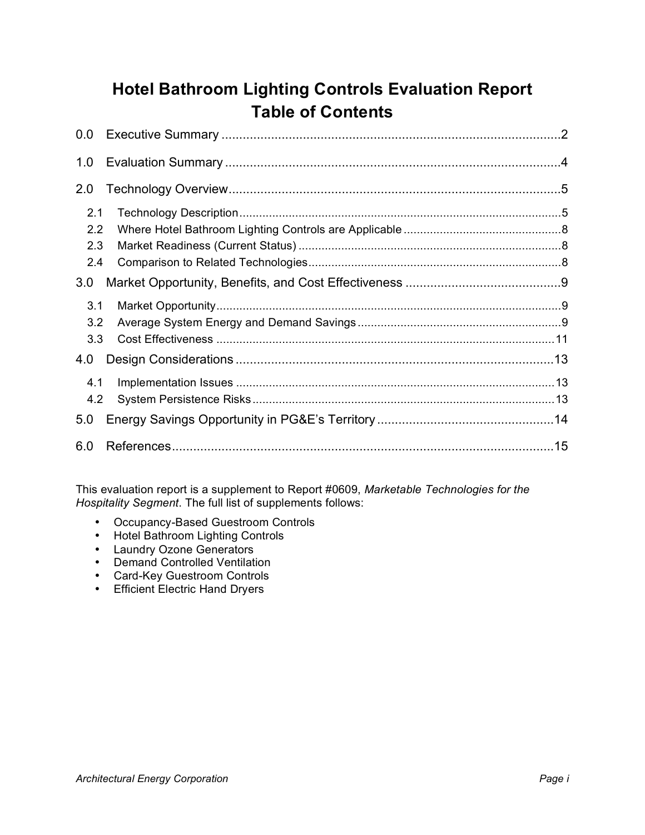# **Hotel Bathroom Lighting Controls Evaluation Report Table of Contents**

| $0.0\,$ |  |
|---------|--|
| 1.0     |  |
| 2.0     |  |
| 2.1     |  |
| 2.2     |  |
| 2.3     |  |
| 2.4     |  |
| 3.0     |  |
|         |  |
| 3.1     |  |
| 3.2     |  |
| 3.3     |  |
| 4.0     |  |
| 4.1     |  |
| 4.2     |  |
| 5.0     |  |

This evaluation report is a supplement to Report #0609, *Marketable Technologies for the Hospitality Segment*. The full list of supplements follows:

- Occupancy-Based Guestroom Controls
- Hotel Bathroom Lighting Controls
- Laundry Ozone Generators
- Demand Controlled Ventilation
- Card-Key Guestroom Controls
- Efficient Electric Hand Dryers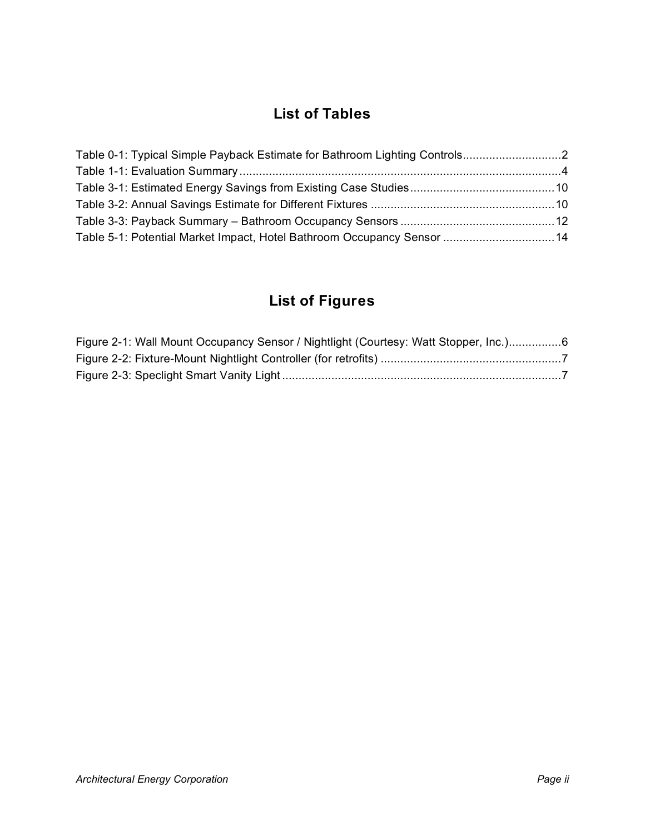# **List of Tables**

| Table 5-1: Potential Market Impact, Hotel Bathroom Occupancy Sensor  14 |  |
|-------------------------------------------------------------------------|--|

# **List of Figures**

| Figure 2-1: Wall Mount Occupancy Sensor / Nightlight (Courtesy: Watt Stopper, Inc.)6 |  |
|--------------------------------------------------------------------------------------|--|
|                                                                                      |  |
|                                                                                      |  |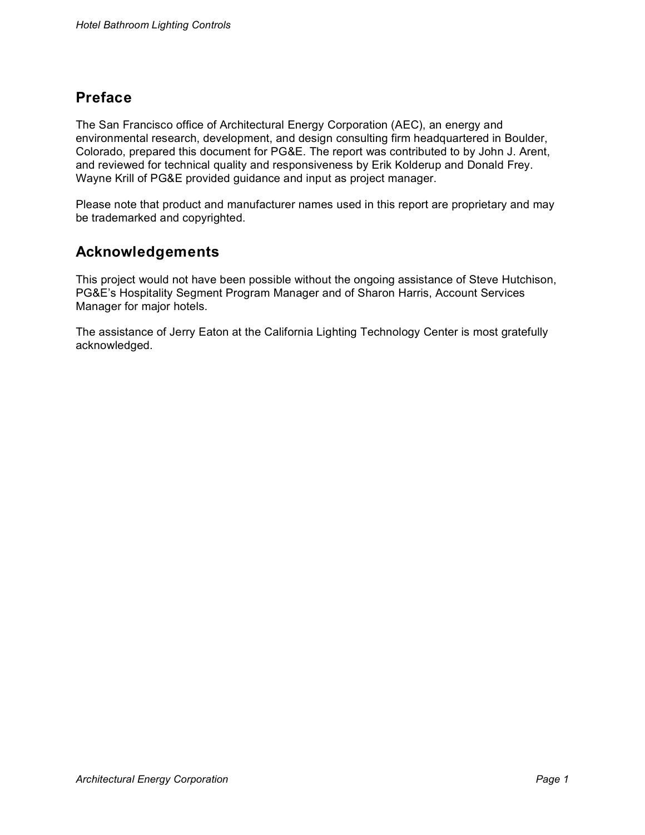# **Preface**

The San Francisco office of Architectural Energy Corporation (AEC), an energy and environmental research, development, and design consulting firm headquartered in Boulder, Colorado, prepared this document for PG&E. The report was contributed to by John J. Arent, and reviewed for technical quality and responsiveness by Erik Kolderup and Donald Frey. Wayne Krill of PG&E provided guidance and input as project manager.

Please note that product and manufacturer names used in this report are proprietary and may be trademarked and copyrighted.

# **Acknowledgements**

This project would not have been possible without the ongoing assistance of Steve Hutchison, PG&E's Hospitality Segment Program Manager and of Sharon Harris, Account Services Manager for major hotels.

The assistance of Jerry Eaton at the California Lighting Technology Center is most gratefully acknowledged.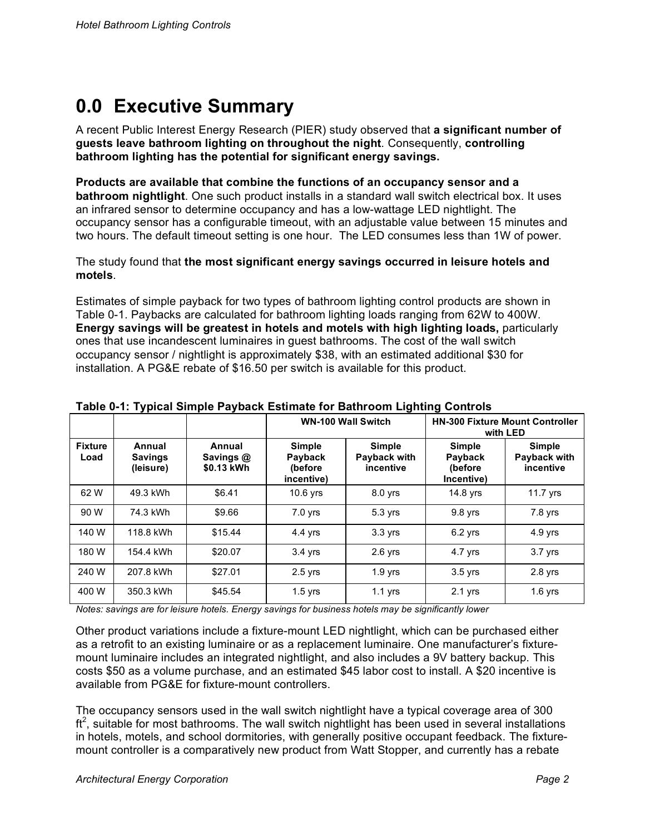# **0.0 Executive Summary**

A recent Public Interest Energy Research (PIER) study observed that **a significant number of guests leave bathroom lighting on throughout the night**. Consequently, **controlling bathroom lighting has the potential for significant energy savings.**

**Products are available that combine the functions of an occupancy sensor and a bathroom nightlight**. One such product installs in a standard wall switch electrical box. It uses an infrared sensor to determine occupancy and has a low-wattage LED nightlight. The occupancy sensor has a configurable timeout, with an adjustable value between 15 minutes and two hours. The default timeout setting is one hour. The LED consumes less than 1W of power.

The study found that **the most significant energy savings occurred in leisure hotels and motels**.

Estimates of simple payback for two types of bathroom lighting control products are shown in Table 0-1. Paybacks are calculated for bathroom lighting loads ranging from 62W to 400W. **Energy savings will be greatest in hotels and motels with high lighting loads,** particularly ones that use incandescent luminaires in guest bathrooms. The cost of the wall switch occupancy sensor / nightlight is approximately \$38, with an estimated additional \$30 for installation. A PG&E rebate of \$16.50 per switch is available for this product.

|                        |                                       | $\frac{1}{2}$                     | <b>WN-100 Wall Switch</b>                  |                                            | with LED                                          | <b>HN-300 Fixture Mount Controller</b>     |
|------------------------|---------------------------------------|-----------------------------------|--------------------------------------------|--------------------------------------------|---------------------------------------------------|--------------------------------------------|
| <b>Fixture</b><br>Load | Annual<br><b>Savings</b><br>(leisure) | Annual<br>Savings @<br>\$0.13 kWh | Simple<br>Payback<br>(before<br>incentive) | <b>Simple</b><br>Payback with<br>incentive | <b>Simple</b><br>Payback<br>(before<br>Incentive) | <b>Simple</b><br>Payback with<br>incentive |
| 62 W                   | 49.3 kWh                              | \$6.41                            | $10.6$ yrs                                 | 8.0 yrs                                    | 14.8 yrs                                          | 11.7 $Vrs$                                 |
| 90 W                   | 74.3 kWh                              | \$9.66                            | $7.0$ yrs                                  | 5.3 yrs                                    | 9.8 yrs                                           | 7.8 yrs                                    |
| 140 W                  | 118.8 kWh                             | \$15.44                           | 4.4 yrs                                    | 3.3 yrs                                    | $6.2$ yrs                                         | 4.9 yrs                                    |
| 180 W                  | 154.4 kWh                             | \$20.07                           | $3.4$ yrs                                  | $2.6$ yrs                                  | $4.7$ yrs                                         | $3.7$ $Vrs$                                |
| 240 W                  | 207.8 kWh                             | \$27.01                           | $2.5$ yrs                                  | $1.9$ yrs                                  | $3.5$ yrs                                         | $2.8$ yrs                                  |
| 400 W                  | 350.3 kWh                             | \$45.54                           | $1.5$ yrs                                  | $1.1$ yrs                                  | $2.1$ yrs                                         | $1.6$ yrs                                  |

#### **Table 0-1: Typical Simple Payback Estimate for Bathroom Lighting Controls**

*Notes: savings are for leisure hotels. Energy savings for business hotels may be significantly lower*

Other product variations include a fixture-mount LED nightlight, which can be purchased either as a retrofit to an existing luminaire or as a replacement luminaire. One manufacturer's fixturemount luminaire includes an integrated nightlight, and also includes a 9V battery backup. This costs \$50 as a volume purchase, and an estimated \$45 labor cost to install. A \$20 incentive is available from PG&E for fixture-mount controllers.

The occupancy sensors used in the wall switch nightlight have a typical coverage area of 300  $ft<sup>2</sup>$ , suitable for most bathrooms. The wall switch nightlight has been used in several installations in hotels, motels, and school dormitories, with generally positive occupant feedback. The fixturemount controller is a comparatively new product from Watt Stopper, and currently has a rebate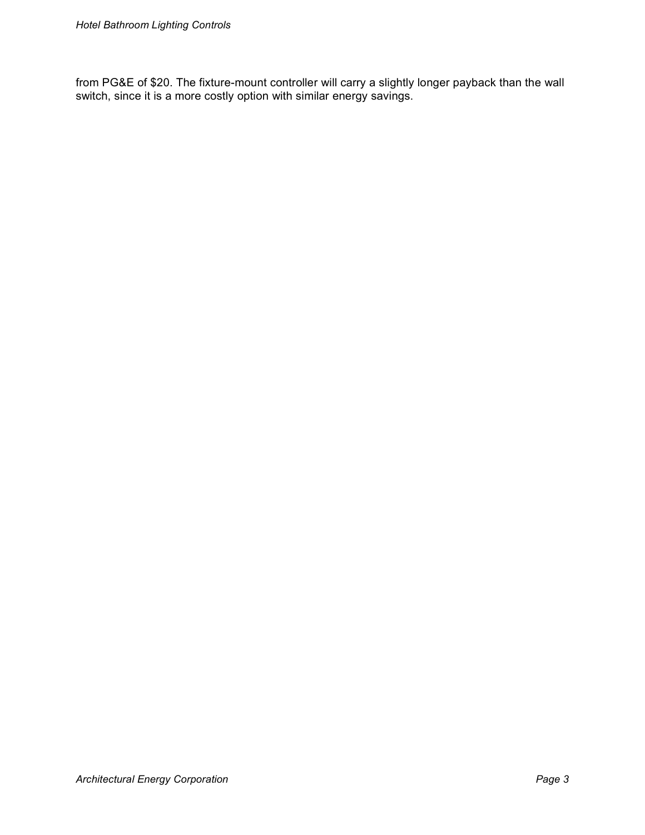from PG&E of \$20. The fixture-mount controller will carry a slightly longer payback than the wall switch, since it is a more costly option with similar energy savings.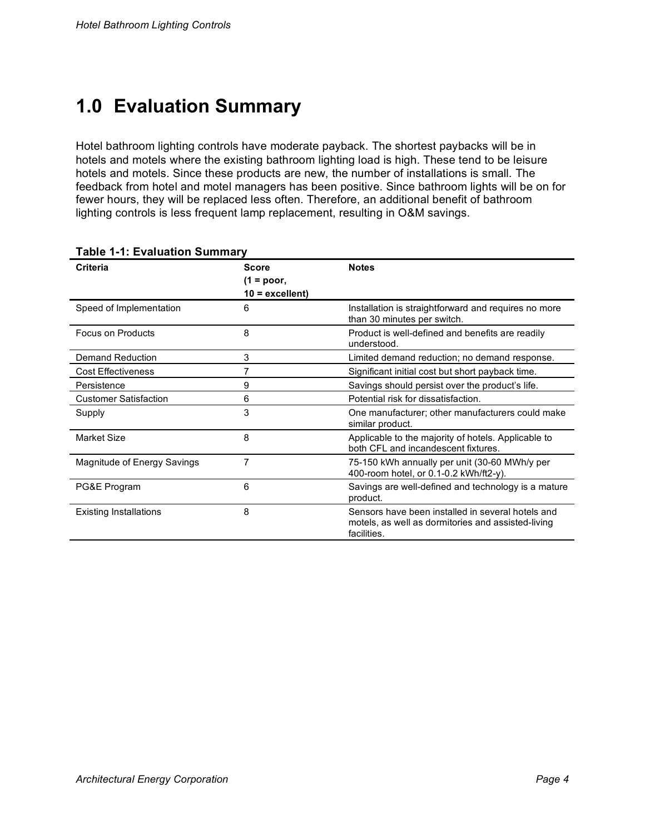# **1.0 Evaluation Summary**

Hotel bathroom lighting controls have moderate payback. The shortest paybacks will be in hotels and motels where the existing bathroom lighting load is high. These tend to be leisure hotels and motels. Since these products are new, the number of installations is small. The feedback from hotel and motel managers has been positive. Since bathroom lights will be on for fewer hours, they will be replaced less often. Therefore, an additional benefit of bathroom lighting controls is less frequent lamp replacement, resulting in O&M savings.

| Criteria                      | <b>Score</b><br>$(1 = poor,$ | <b>Notes</b>                                                                                                           |
|-------------------------------|------------------------------|------------------------------------------------------------------------------------------------------------------------|
|                               | $10 =$ excellent)            |                                                                                                                        |
| Speed of Implementation       | 6                            | Installation is straightforward and requires no more<br>than 30 minutes per switch.                                    |
| Focus on Products             | 8                            | Product is well-defined and benefits are readily<br>understood.                                                        |
| Demand Reduction              | 3                            | Limited demand reduction; no demand response.                                                                          |
| <b>Cost Effectiveness</b>     | 7                            | Significant initial cost but short payback time.                                                                       |
| Persistence                   | 9                            | Savings should persist over the product's life.                                                                        |
| <b>Customer Satisfaction</b>  | 6                            | Potential risk for dissatisfaction.                                                                                    |
| Supply                        | 3                            | One manufacturer; other manufacturers could make<br>similar product.                                                   |
| Market Size                   | 8                            | Applicable to the majority of hotels. Applicable to<br>both CFL and incandescent fixtures.                             |
| Magnitude of Energy Savings   | 7                            | 75-150 kWh annually per unit (30-60 MWh/y per<br>400-room hotel, or 0.1-0.2 kWh/ft2-y).                                |
| PG&E Program                  | 6                            | Savings are well-defined and technology is a mature<br>product.                                                        |
| <b>Existing Installations</b> | 8                            | Sensors have been installed in several hotels and<br>motels, as well as dormitories and assisted-living<br>facilities. |

#### **Table 1-1: Evaluation Summary**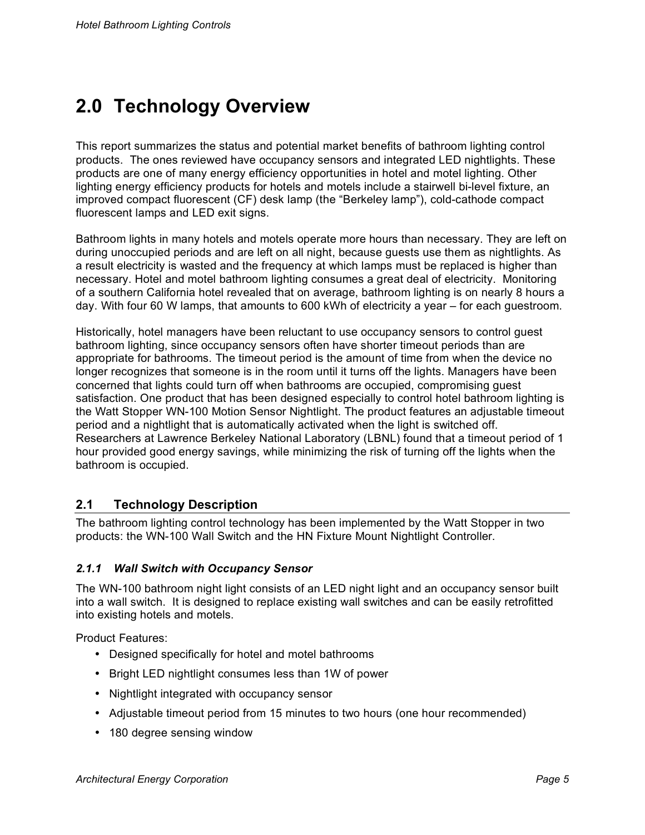# **2.0 Technology Overview**

This report summarizes the status and potential market benefits of bathroom lighting control products. The ones reviewed have occupancy sensors and integrated LED nightlights. These products are one of many energy efficiency opportunities in hotel and motel lighting. Other lighting energy efficiency products for hotels and motels include a stairwell bi-level fixture, an improved compact fluorescent (CF) desk lamp (the "Berkeley lamp"), cold-cathode compact fluorescent lamps and LED exit signs.

Bathroom lights in many hotels and motels operate more hours than necessary. They are left on during unoccupied periods and are left on all night, because guests use them as nightlights. As a result electricity is wasted and the frequency at which lamps must be replaced is higher than necessary. Hotel and motel bathroom lighting consumes a great deal of electricity. Monitoring of a southern California hotel revealed that on average, bathroom lighting is on nearly 8 hours a day. With four 60 W lamps, that amounts to 600 kWh of electricity a year – for each guestroom.

Historically, hotel managers have been reluctant to use occupancy sensors to control guest bathroom lighting, since occupancy sensors often have shorter timeout periods than are appropriate for bathrooms. The timeout period is the amount of time from when the device no longer recognizes that someone is in the room until it turns off the lights. Managers have been concerned that lights could turn off when bathrooms are occupied, compromising guest satisfaction. One product that has been designed especially to control hotel bathroom lighting is the Watt Stopper WN-100 Motion Sensor Nightlight. The product features an adjustable timeout period and a nightlight that is automatically activated when the light is switched off. Researchers at Lawrence Berkeley National Laboratory (LBNL) found that a timeout period of 1 hour provided good energy savings, while minimizing the risk of turning off the lights when the bathroom is occupied.

### **2.1 Technology Description**

The bathroom lighting control technology has been implemented by the Watt Stopper in two products: the WN-100 Wall Switch and the HN Fixture Mount Nightlight Controller.

### *2.1.1 Wall Switch with Occupancy Sensor*

The WN-100 bathroom night light consists of an LED night light and an occupancy sensor built into a wall switch. It is designed to replace existing wall switches and can be easily retrofitted into existing hotels and motels.

Product Features:

- Designed specifically for hotel and motel bathrooms
- Bright LED nightlight consumes less than 1W of power
- Nightlight integrated with occupancy sensor
- Adjustable timeout period from 15 minutes to two hours (one hour recommended)
- 180 degree sensing window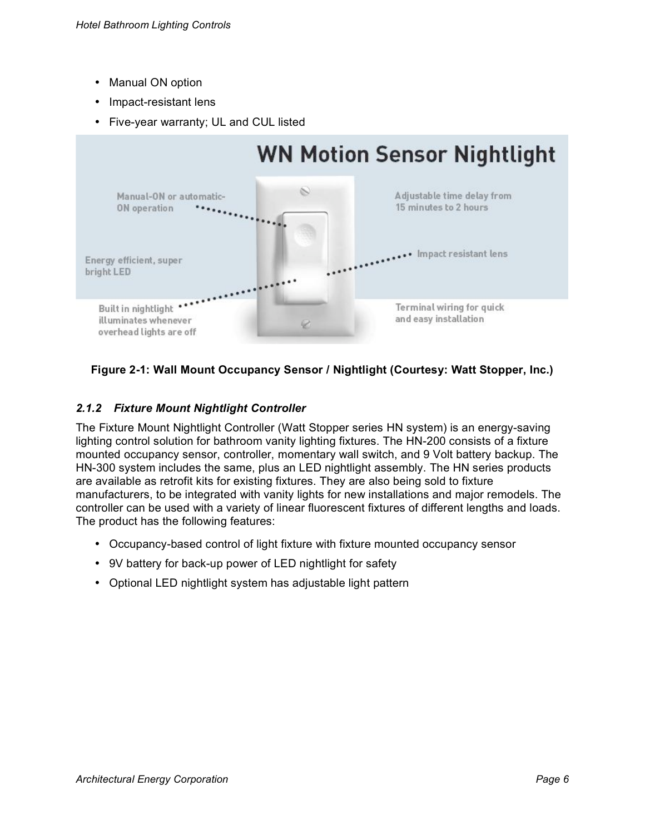- Manual ON option
- Impact-resistant lens
- Five-year warranty; UL and CUL listed



### **Figure 2-1: Wall Mount Occupancy Sensor / Nightlight (Courtesy: Watt Stopper, Inc.)**

### *2.1.2 Fixture Mount Nightlight Controller*

The Fixture Mount Nightlight Controller (Watt Stopper series HN system) is an energy-saving lighting control solution for bathroom vanity lighting fixtures. The HN-200 consists of a fixture mounted occupancy sensor, controller, momentary wall switch, and 9 Volt battery backup. The HN-300 system includes the same, plus an LED nightlight assembly. The HN series products are available as retrofit kits for existing fixtures. They are also being sold to fixture manufacturers, to be integrated with vanity lights for new installations and major remodels. The controller can be used with a variety of linear fluorescent fixtures of different lengths and loads. The product has the following features:

- Occupancy-based control of light fixture with fixture mounted occupancy sensor
- 9V battery for back-up power of LED nightlight for safety
- Optional LED nightlight system has adjustable light pattern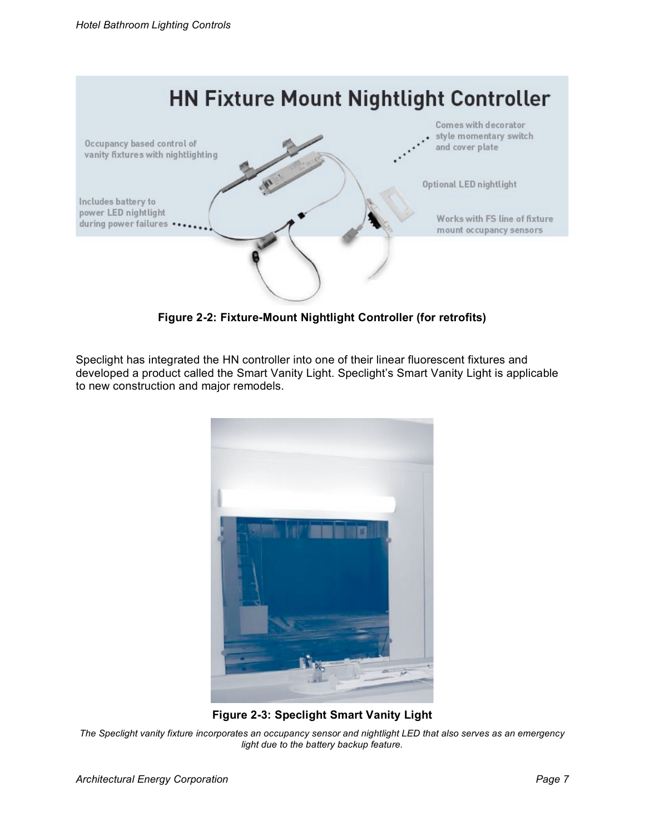

**Figure 2-2: Fixture-Mount Nightlight Controller (for retrofits)**

Speclight has integrated the HN controller into one of their linear fluorescent fixtures and developed a product called the Smart Vanity Light. Speclight's Smart Vanity Light is applicable to new construction and major remodels.



**Figure 2-3: Speclight Smart Vanity Light**

The Speclight vanity fixture incorporates an occupancy sensor and nightlight LED that also serves as an emergency *light due to the battery backup feature.*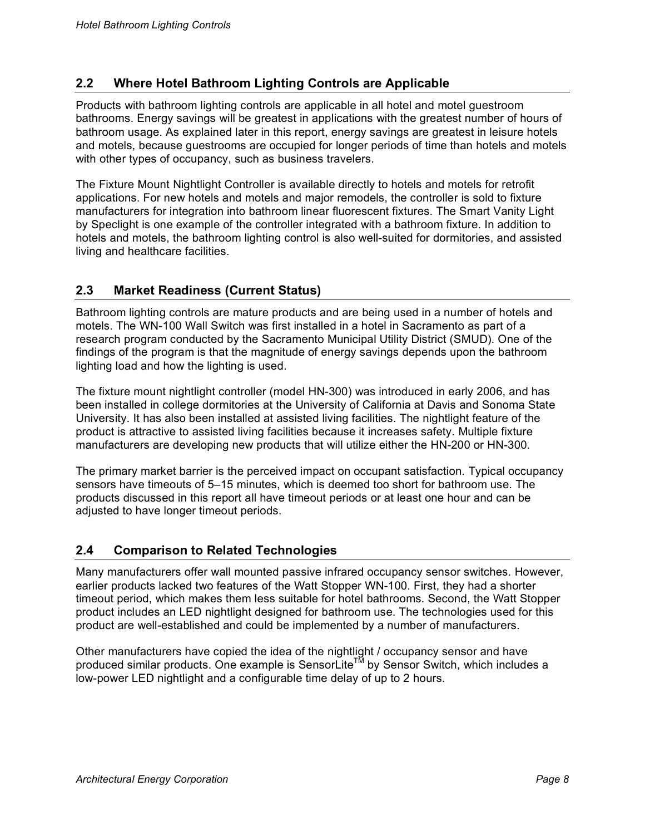## **2.2 Where Hotel Bathroom Lighting Controls are Applicable**

Products with bathroom lighting controls are applicable in all hotel and motel guestroom bathrooms. Energy savings will be greatest in applications with the greatest number of hours of bathroom usage. As explained later in this report, energy savings are greatest in leisure hotels and motels, because guestrooms are occupied for longer periods of time than hotels and motels with other types of occupancy, such as business travelers.

The Fixture Mount Nightlight Controller is available directly to hotels and motels for retrofit applications. For new hotels and motels and major remodels, the controller is sold to fixture manufacturers for integration into bathroom linear fluorescent fixtures. The Smart Vanity Light by Speclight is one example of the controller integrated with a bathroom fixture. In addition to hotels and motels, the bathroom lighting control is also well-suited for dormitories, and assisted living and healthcare facilities.

## **2.3 Market Readiness (Current Status)**

Bathroom lighting controls are mature products and are being used in a number of hotels and motels. The WN-100 Wall Switch was first installed in a hotel in Sacramento as part of a research program conducted by the Sacramento Municipal Utility District (SMUD). One of the findings of the program is that the magnitude of energy savings depends upon the bathroom lighting load and how the lighting is used.

The fixture mount nightlight controller (model HN-300) was introduced in early 2006, and has been installed in college dormitories at the University of California at Davis and Sonoma State University. It has also been installed at assisted living facilities. The nightlight feature of the product is attractive to assisted living facilities because it increases safety. Multiple fixture manufacturers are developing new products that will utilize either the HN-200 or HN-300.

The primary market barrier is the perceived impact on occupant satisfaction. Typical occupancy sensors have timeouts of 5–15 minutes, which is deemed too short for bathroom use. The products discussed in this report all have timeout periods or at least one hour and can be adjusted to have longer timeout periods.

### **2.4 Comparison to Related Technologies**

Many manufacturers offer wall mounted passive infrared occupancy sensor switches. However, earlier products lacked two features of the Watt Stopper WN-100. First, they had a shorter timeout period, which makes them less suitable for hotel bathrooms. Second, the Watt Stopper product includes an LED nightlight designed for bathroom use. The technologies used for this product are well-established and could be implemented by a number of manufacturers.

Other manufacturers have copied the idea of the nightlight / occupancy sensor and have produced similar products. One example is SensorLite<sup>TM</sup> by Sensor Switch, which includes a low-power LED nightlight and a configurable time delay of up to 2 hours.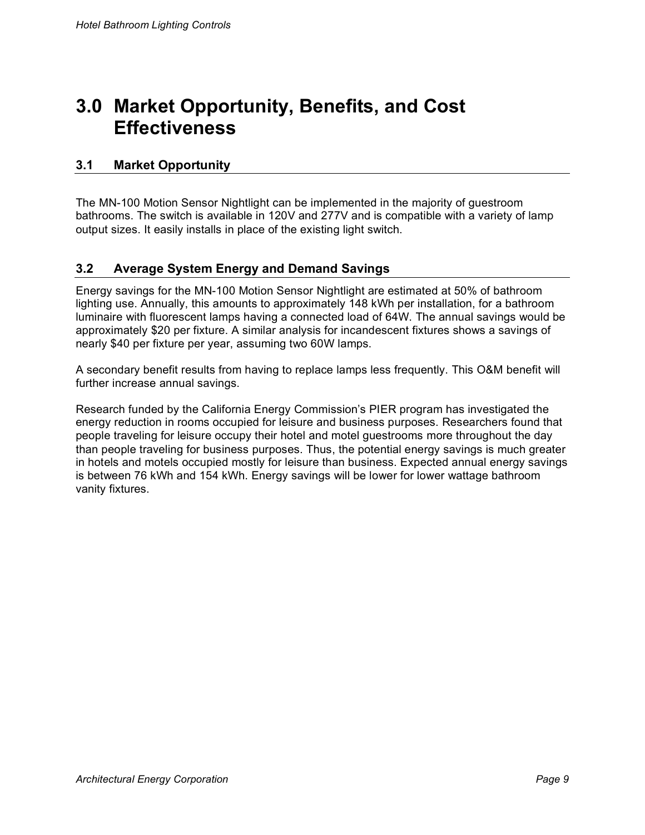# **3.0 Market Opportunity, Benefits, and Cost Effectiveness**

## **3.1 Market Opportunity**

The MN-100 Motion Sensor Nightlight can be implemented in the majority of guestroom bathrooms. The switch is available in 120V and 277V and is compatible with a variety of lamp output sizes. It easily installs in place of the existing light switch.

### **3.2 Average System Energy and Demand Savings**

Energy savings for the MN-100 Motion Sensor Nightlight are estimated at 50% of bathroom lighting use. Annually, this amounts to approximately 148 kWh per installation, for a bathroom luminaire with fluorescent lamps having a connected load of 64W. The annual savings would be approximately \$20 per fixture. A similar analysis for incandescent fixtures shows a savings of nearly \$40 per fixture per year, assuming two 60W lamps.

A secondary benefit results from having to replace lamps less frequently. This O&M benefit will further increase annual savings.

Research funded by the California Energy Commission's PIER program has investigated the energy reduction in rooms occupied for leisure and business purposes. Researchers found that people traveling for leisure occupy their hotel and motel guestrooms more throughout the day than people traveling for business purposes. Thus, the potential energy savings is much greater in hotels and motels occupied mostly for leisure than business. Expected annual energy savings is between 76 kWh and 154 kWh. Energy savings will be lower for lower wattage bathroom vanity fixtures.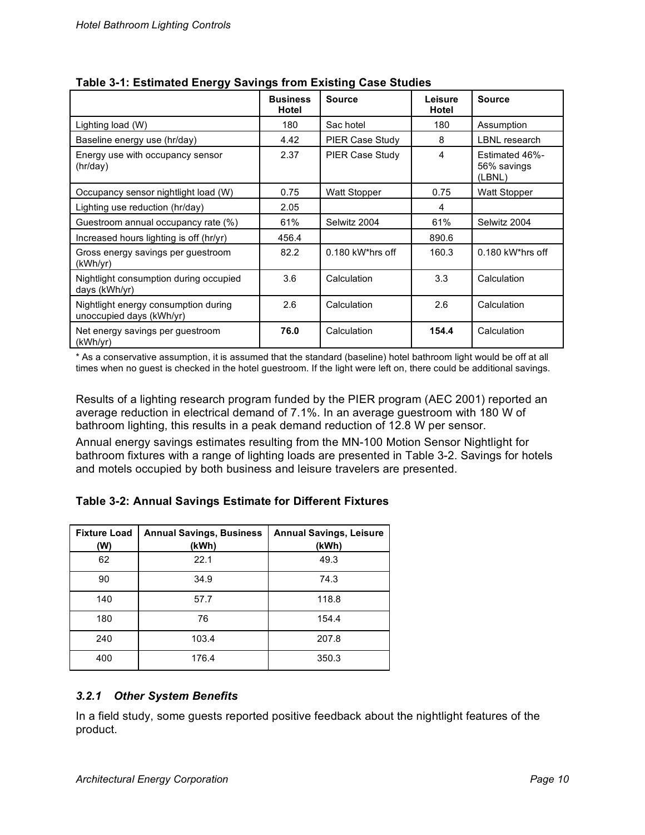|                                                                  | <b>Business</b><br>Hotel | <b>Source</b>          | Leisure<br>Hotel | <b>Source</b>                           |
|------------------------------------------------------------------|--------------------------|------------------------|------------------|-----------------------------------------|
| Lighting load (W)                                                | 180                      | Sac hotel              | 180              | Assumption                              |
| Baseline energy use (hr/day)                                     | 4.42                     | <b>PIER Case Study</b> | 8                | <b>LBNL</b> research                    |
| Energy use with occupancy sensor<br>(hr/day)                     | 2.37                     | PIER Case Study        | 4                | Estimated 46%-<br>56% savings<br>(LBNL) |
| Occupancy sensor nightlight load (W)                             | 0.75                     | Watt Stopper           | 0.75             | Watt Stopper                            |
| Lighting use reduction (hr/day)                                  | 2.05                     |                        | 4                |                                         |
| Guestroom annual occupancy rate (%)                              | 61%                      | Selwitz 2004           | 61%              | Selwitz 2004                            |
| Increased hours lighting is off (hr/yr)                          | 456.4                    |                        | 890.6            |                                         |
| Gross energy savings per guestroom<br>(kWh/yr)                   | 82.2                     | $0.180$ kW*hrs off     | 160.3            | $0.180$ kW*hrs off                      |
| Nightlight consumption during occupied<br>days (kWh/yr)          | 3.6                      | Calculation            | 3.3              | Calculation                             |
| Nightlight energy consumption during<br>unoccupied days (kWh/yr) | 2.6                      | Calculation            | 2.6              | Calculation                             |
| Net energy savings per guestroom<br>(kWh/yr)                     | 76.0                     | Calculation            | 154.4            | Calculation                             |

**Table 3-1: Estimated Energy Savings from Existing Case Studies**

\* As a conservative assumption, it is assumed that the standard (baseline) hotel bathroom light would be off at all times when no guest is checked in the hotel guestroom. If the light were left on, there could be additional savings.

Results of a lighting research program funded by the PIER program (AEC 2001) reported an average reduction in electrical demand of 7.1%. In an average guestroom with 180 W of bathroom lighting, this results in a peak demand reduction of 12.8 W per sensor.

Annual energy savings estimates resulting from the MN-100 Motion Sensor Nightlight for bathroom fixtures with a range of lighting loads are presented in Table 3-2. Savings for hotels and motels occupied by both business and leisure travelers are presented.

### **Table 3-2: Annual Savings Estimate for Different Fixtures**

| <b>Fixture Load</b><br>(W) | <b>Annual Savings, Business</b><br>(kWh) | <b>Annual Savings, Leisure</b><br>(kWh) |
|----------------------------|------------------------------------------|-----------------------------------------|
| 62                         | 22.1                                     | 49.3                                    |
| 90                         | 34.9                                     | 74.3                                    |
| 140                        | 57.7                                     | 118.8                                   |
| 180                        | 76                                       | 154.4                                   |
| 240                        | 103.4                                    | 207.8                                   |
| 400                        | 176.4                                    | 350.3                                   |

### *3.2.1 Other System Benefits*

In a field study, some guests reported positive feedback about the nightlight features of the product.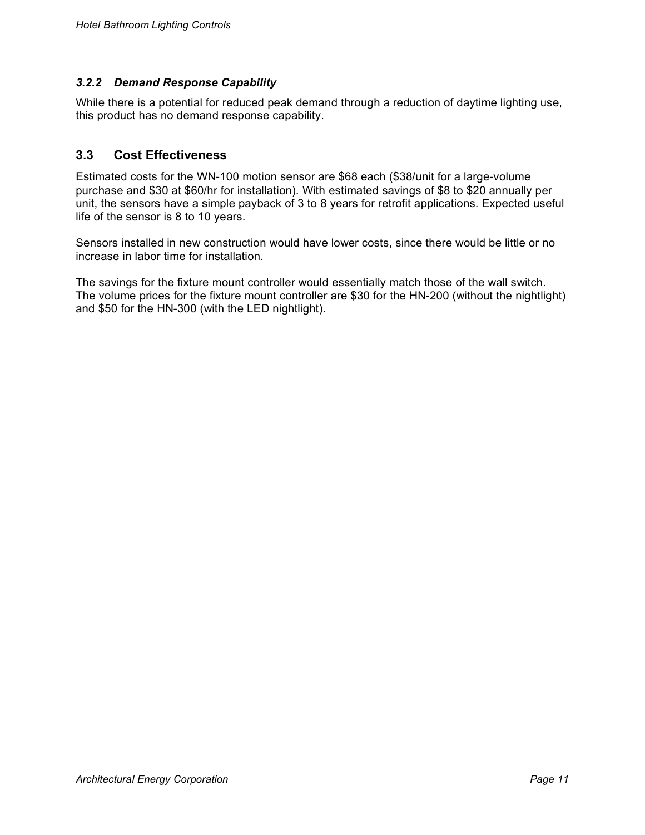### *3.2.2 Demand Response Capability*

While there is a potential for reduced peak demand through a reduction of daytime lighting use, this product has no demand response capability.

### **3.3 Cost Effectiveness**

Estimated costs for the WN-100 motion sensor are \$68 each (\$38/unit for a large-volume purchase and \$30 at \$60/hr for installation). With estimated savings of \$8 to \$20 annually per unit, the sensors have a simple payback of 3 to 8 years for retrofit applications. Expected useful life of the sensor is 8 to 10 years.

Sensors installed in new construction would have lower costs, since there would be little or no increase in labor time for installation.

The savings for the fixture mount controller would essentially match those of the wall switch. The volume prices for the fixture mount controller are \$30 for the HN-200 (without the nightlight) and \$50 for the HN-300 (with the LED nightlight).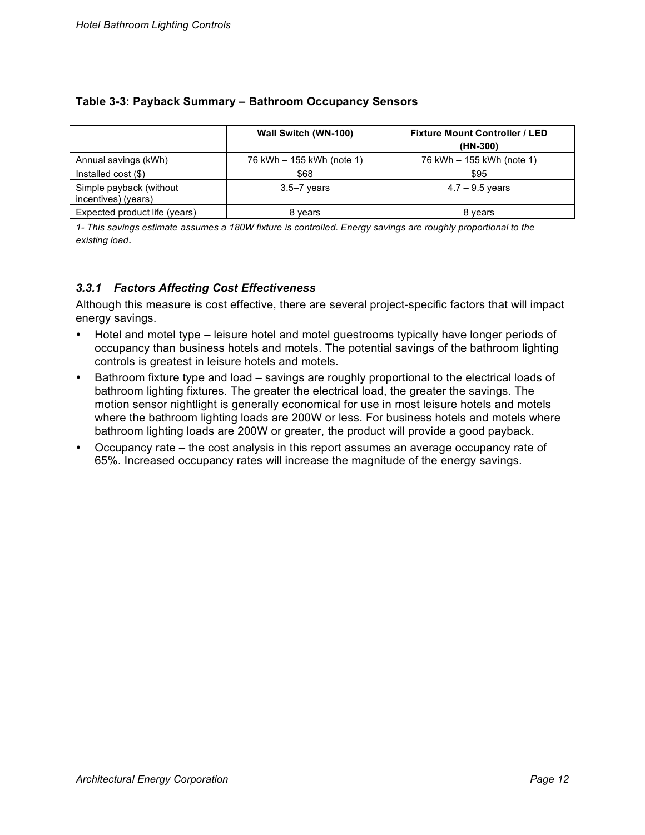|                                                | <b>Wall Switch (WN-100)</b> | <b>Fixture Mount Controller / LED</b><br>(HN-300) |
|------------------------------------------------|-----------------------------|---------------------------------------------------|
| Annual savings (kWh)                           | 76 kWh - 155 kWh (note 1)   | 76 kWh - 155 kWh (note 1)                         |
| Installed $cost$ (\$)                          | \$68                        | \$95                                              |
| Simple payback (without<br>incentives) (years) | $3.5 - 7$ years             | $4.7 - 9.5$ years                                 |
| Expected product life (years)                  | 8 vears                     | 8 years                                           |

### **Table 3-3: Payback Summary – Bathroom Occupancy Sensors**

1- This savings estimate assumes a 180W fixture is controlled. Energy savings are roughly proportional to the *existing load*.

### *3.3.1 Factors Affecting Cost Effectiveness*

Although this measure is cost effective, there are several project-specific factors that will impact energy savings.

- Hotel and motel type leisure hotel and motel guestrooms typically have longer periods of occupancy than business hotels and motels. The potential savings of the bathroom lighting controls is greatest in leisure hotels and motels.
- Bathroom fixture type and load savings are roughly proportional to the electrical loads of bathroom lighting fixtures. The greater the electrical load, the greater the savings. The motion sensor nightlight is generally economical for use in most leisure hotels and motels where the bathroom lighting loads are 200W or less. For business hotels and motels where bathroom lighting loads are 200W or greater, the product will provide a good payback.
- Occupancy rate the cost analysis in this report assumes an average occupancy rate of 65%. Increased occupancy rates will increase the magnitude of the energy savings.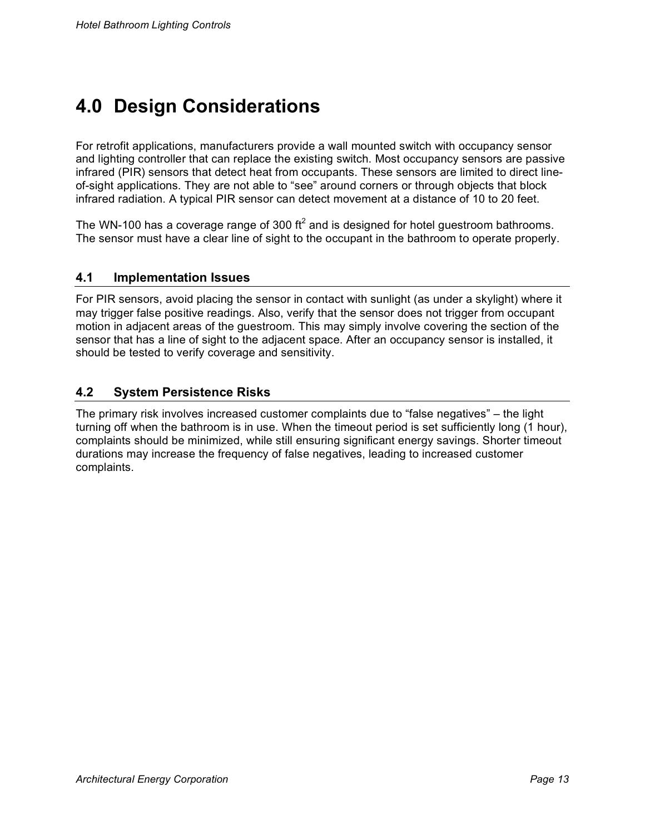# **4.0 Design Considerations**

For retrofit applications, manufacturers provide a wall mounted switch with occupancy sensor and lighting controller that can replace the existing switch. Most occupancy sensors are passive infrared (PIR) sensors that detect heat from occupants. These sensors are limited to direct lineof-sight applications. They are not able to "see" around corners or through objects that block infrared radiation. A typical PIR sensor can detect movement at a distance of 10 to 20 feet.

The WN-100 has a coverage range of 300 ft<sup>2</sup> and is designed for hotel guestroom bathrooms. The sensor must have a clear line of sight to the occupant in the bathroom to operate properly.

### **4.1 Implementation Issues**

For PIR sensors, avoid placing the sensor in contact with sunlight (as under a skylight) where it may trigger false positive readings. Also, verify that the sensor does not trigger from occupant motion in adjacent areas of the guestroom. This may simply involve covering the section of the sensor that has a line of sight to the adjacent space. After an occupancy sensor is installed, it should be tested to verify coverage and sensitivity.

### **4.2 System Persistence Risks**

The primary risk involves increased customer complaints due to "false negatives" – the light turning off when the bathroom is in use. When the timeout period is set sufficiently long (1 hour), complaints should be minimized, while still ensuring significant energy savings. Shorter timeout durations may increase the frequency of false negatives, leading to increased customer complaints.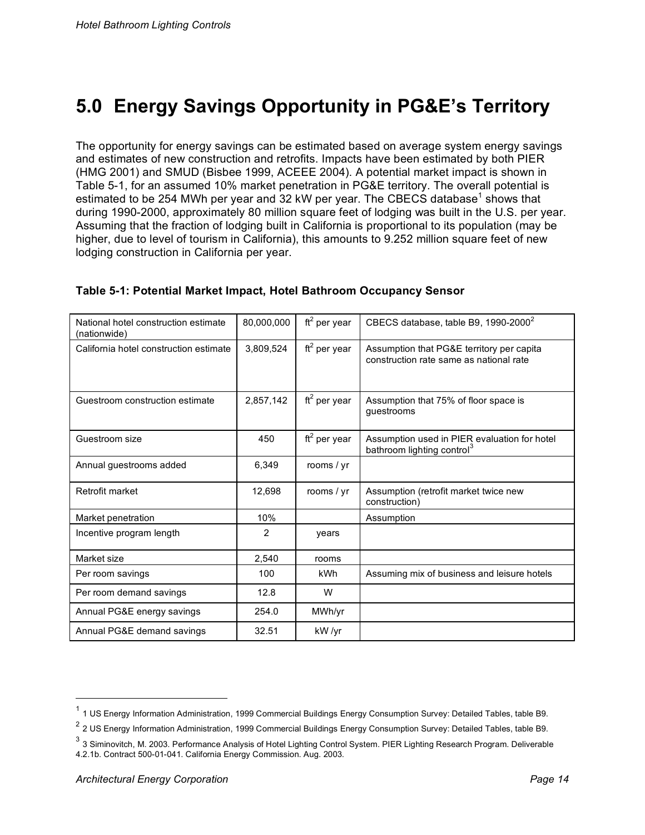# **5.0 Energy Savings Opportunity in PG&E's Territory**

The opportunity for energy savings can be estimated based on average system energy savings and estimates of new construction and retrofits. Impacts have been estimated by both PIER (HMG 2001) and SMUD (Bisbee 1999, ACEEE 2004). A potential market impact is shown in Table 5-1, for an assumed 10% market penetration in PG&E territory. The overall potential is estimated to be 254 MWh per year and 32 kW per year. The CBECS database<sup>1</sup> shows that during 1990-2000, approximately 80 million square feet of lodging was built in the U.S. per year. Assuming that the fraction of lodging built in California is proportional to its population (may be higher, due to level of tourism in California), this amounts to 9.252 million square feet of new lodging construction in California per year.

| National hotel construction estimate<br>(nationwide) | 80,000,000     | ft <sup>2</sup> per year | CBECS database, table B9, 1990-2000 <sup>2</sup>                                       |
|------------------------------------------------------|----------------|--------------------------|----------------------------------------------------------------------------------------|
| California hotel construction estimate               | 3,809,524      | $ft2$ per year           | Assumption that PG&E territory per capita<br>construction rate same as national rate   |
| Guestroom construction estimate                      | 2,857,142      | $ft2$ per year           | Assumption that 75% of floor space is<br>guestrooms                                    |
| Guestroom size                                       | 450            | $ft2$ per year           | Assumption used in PIER evaluation for hotel<br>bathroom lighting control <sup>3</sup> |
| Annual guestrooms added                              | 6,349          | rooms / yr               |                                                                                        |
| Retrofit market                                      | 12,698         | rooms / yr               | Assumption (retrofit market twice new<br>construction)                                 |
| Market penetration                                   | 10%            |                          | Assumption                                                                             |
| Incentive program length                             | $\overline{2}$ | years                    |                                                                                        |
| Market size                                          | 2,540          | rooms                    |                                                                                        |
| Per room savings                                     | 100            | kWh                      | Assuming mix of business and leisure hotels                                            |
| Per room demand savings                              | 12.8           | W                        |                                                                                        |
| Annual PG&E energy savings                           | 254.0          | MWh/yr                   |                                                                                        |
| Annual PG&E demand savings                           | 32.51          | kW /yr                   |                                                                                        |

#### **Table 5-1: Potential Market Impact, Hotel Bathroom Occupancy Sensor**

 $1$  1 US Energy Information Administration, 1999 Commercial Buildings Energy Consumption Survey: Detailed Tables, table B9.

 $2$  2 US Energy Information Administration, 1999 Commercial Buildings Energy Consumption Survey: Detailed Tables, table B9.

 $3$  3 Siminovitch, M. 2003. Performance Analysis of Hotel Lighting Control System. PIER Lighting Research Program. Deliverable 4.2.1b. Contract 500-01-041. California Energy Commission. Aug. 2003.